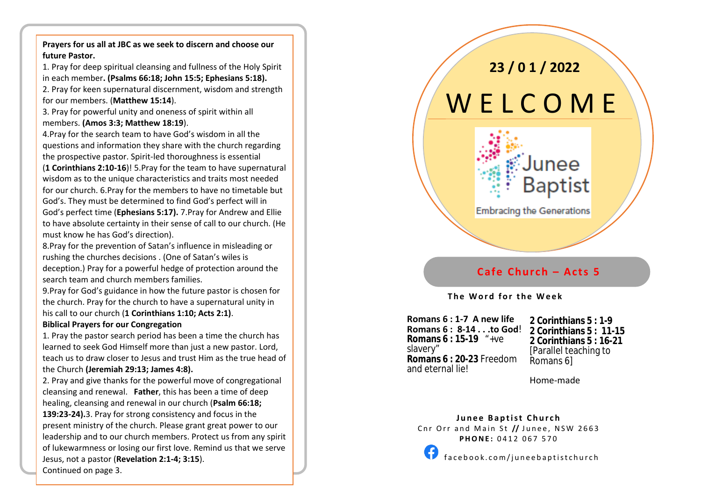**Prayers for us all at JBC as we seek to discern and choose our future Pastor.**

1. Pray for deep spiritual cleansing and fullness of the Holy Spirit in each member**. (Psalms 66:18; John 15:5; Ephesians 5:18).**

2. Pray for keen supernatural discernment, wisdom and strength for our members. (**Matthew 15:14**).

3. Pray for powerful unity and oneness of spirit within all members. **(Amos 3:3; Matthew 18:19**).

4.Pray for the search team to have God's wisdom in all the questions and information they share with the church regarding the prospective pastor. Spirit -led thoroughness is essential

(**1 Corinthians 2:10 -16**)! 5.Pray for the team to have supernatural wisdom as to the unique characteristics and traits most needed for our church. 6.Pray for the members to have no timetable but God's. They must be determined to find God's perfect will in God's perfect time (**Ephesians 5:17).** 7.Pray for Andrew and Ellie to have absolute certainty in their sense of call to our church. (He must know he has God's direction).

8.Pray for the prevention of Satan's influence in misleading or rushing the churches decisions . (One of Satan's wiles is deception.) Pray for a powerful hedge of protection around the search team and church members families.

9.Pray for God's guidance in how the future pastor is chosen for the church. Pray for the church to have a supernatural unity in his call to our church (**1 Corinthians 1:10; Acts 2:1)** .

#### **Biblical Prayers for our Congregation**

1. Pray the pastor search period has been a time the church has learned to seek God Himself more than just a new pastor. Lord, teach us to draw closer to Jesus and trust Him as the true head of the Church **(Jeremiah 29:13; James 4:8).**

2. Pray and give thanks for the powerful move of congregational cleansing and renewal. **Father**, this has been a time of deep healing, cleansing and renewal in our church ( **Psalm 66:18; 139:23 -24).**3. Pray for strong consistency and focus in the present ministry of the church. Please grant great power to our leadership and to our church members. Protect us from any spirit of lukewarmness or losing our first love. Remind us that we serve Jesus, not a pastor (**Revelation 2:1 -4; 3:15**). Continued on page 3.

# **23 / 0 1 / 2022** W E L C O M E



## **Cafe Church – Acts 5**

#### **T h e W o r d f o r t h e W e e k**

 **Romans 6 : 1-7 A new life** j **Romans 6 : 8-14 . . .to God**! **Romans 6 : 15-19** "+ve slavery" **Romans 6 : 20-23** Freedom and eternal lie!

**2 Corinthians 5 : 1-9 2 Corinthians 5 : 11-15 2 Corinthians 5 : 16-21** [Parallel teaching to Romans 6]

Home -made

**Junee Baptist Church** Cnr Orr and Main St // Junee, NSW 2663 **PHONE: 0412 067 570** 



f a c e b o o k . c o m / j u n e e b a p t i s t c h u r c h